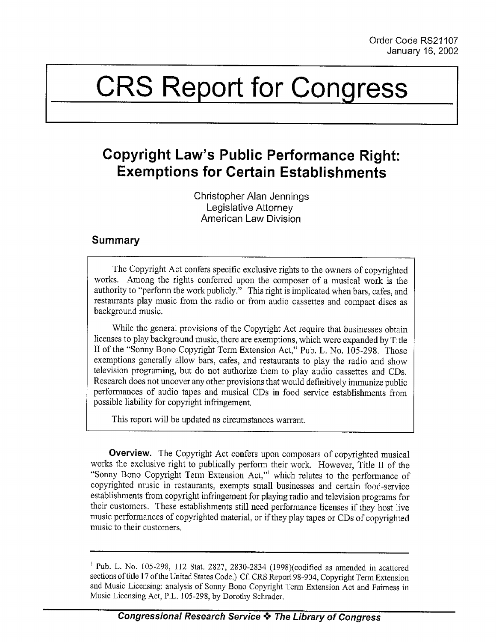# CRS Report for Congress

# Copyright Law's Public Performance Right: Exemptions for Certain Establishments

Christopher Alan Jennings Legislative Attorney American Law Division

## Summary

The Copyright Act confers specific exclusive rights to the owners of copyrighted works. Among the rights conferred upon the composer of a musical work is the authority to "perform the work publicly." This right is implicated when bars, cafes, and restaurants play music from the radio or from audio cassettes and compact discs as background music.

While the general provisions of the Copyright Act require that businesses obtain licenses to play background music, there are exemptions, which were expanded by Title II of the "Sonny Bono Copyright Term Extension Act," Pub. L. No. 105-298. Those exemptions generally allow bars, cafes, and restaurants to play the radio and show television programing, but do not authorize them to play audio cassettes and CDs. Research does not uncover any other provisions that would definitively immunize public performances of audio tapes and musical CDs in food service establishments from possible liability for copyright infringement.

This report will be updated as circumstances warrant.

Overview. The Copyright Act confers upon composers of copyrighted musical works the exclusive right to publically perform their work. However, Title II of the "Sonny Bono Copyright Term Extension Act," which relates to the performance of copyrighted music in restaurants, exempts small businesses and certain food-service establishments from copyright infringement for playing radio and television programs for their customers. These establishments still need performance licenses if they host live music performances of copyrighted material, or if they play tapes or CDs of copyrighted music to their customers.

 $^{1}$  Pub. L. No. 105-298, 112 Stat. 2827, 2830-2834 (1998)(codified as amended in scattered sections of title 17 of the United States Code.) Cf. CRS Report 98-904, Copyright Term Extension and Music Licensing: analysis of Sonny Bono Copyright Term Extension Act and Fairness in Music Licensing Act, P.L. 105-298, by Dorothy Schrader.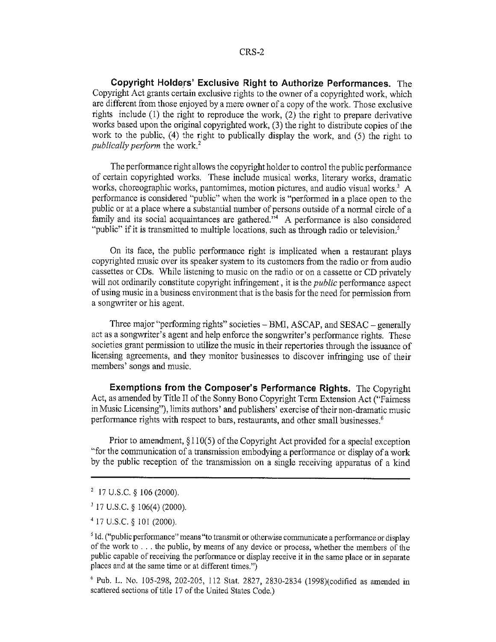Copyright Holders' Exclusive Right to Authorize Performances. The Copyright Act grants certain exclusive rights to the owner of a copyrighted work, which are different from those enjoyed by a mere owner of a copy of the work. Those exclusive rights include  $(1)$  the right to reproduce the work,  $(2)$  the right to prepare derivative works based upon the original copyrighted work, (3) the right to distribute copies of the work to the public, (4) the right to publically display the work, and (5) the right to *publically perform the work.*<sup>2</sup>

The performance right allows the copyright holder to control the public performance of certain copyrighted works, These include musical works, literary works, dramatic works, choreographic works, pantomimes, motion pictures, and audio visual works. $3 \text{ A}$ performance is considered "public" when the work is "performed in a place open to the public or at a place where a substantial number of persons outside of a normal circle of a family and its social acquaintances are gathered.<sup> $n^4$ </sup> A performance is also considered "public" if it is transmitted to multiple locations, such as through radio or television.<sup>5</sup>

On its face, the public performance right is implicated when a restaurant plays copyrighted music over its speaker system to its customers from the radio or from audio cassettes or CDs. While listening to music on the radio or on a cassette or CD privately will not ordinarily constitute copyright infringement, it is the *public* performance aspect of using music in a business environment that is the basis for the need for permission from a songwriter or his agent.

Three major "performing rights" societies – BMI, ASCAP, and SESAC – generally act as a songwriter's agent and help enforce the songwriter's performance rights. These societies grant permission to utilize the music in their repertories through the issuance of licensing agreements, and they monitor businesses to discover infringing use of their members' songs and music.

Exemptions from the Composer's Performance Rights. The Copyright Act, as amended by Title II of the Sonny Bono Copyright Term Extension Act ("Fairness in Music Licensing"), limits authors' and publishers' exercise of their non-dramatic music performance rights with respect to bars, restaurants, and other small businesses.

Prior to amendment, § 110(5) of the Copyright Act provided for a special exception "for the communication of a transmission embodying a performance or display of a work by the public reception of the transmission on a single receiving apparatus of a kind

**<sup>2</sup>** 17 U.S.C. § 106 (2000).

**S17** U.S.C. § 106(4) (2000).

<sup>4</sup> 17 U.S.C. **§ 101** (2000).

<sup>&</sup>lt;sup>5</sup> Id. ("public performance" means "to transmit or otherwise communicate a performance or display of the work **to.**  $\ldots$  the public, by means of any device or process, whether the members of the public capable of receiving the performance or display receive it in the same place or in separate places and at the same time or at different times.")

**<sup>&#</sup>x27;** Pub. L. No. 105-298, 202-205, 112 Stat. 2827, 2830-2834 (1998)(codified as amended in scattered sections of title **17** of the United States Code.)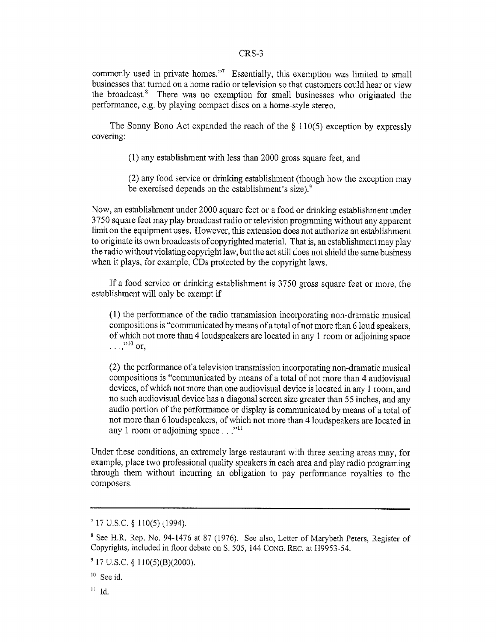### CRS-3

commonly used in private homes."<sup>7</sup> Essentially, this exemption was limited to small businesses that turned on a home radio or television so that customers could hear or view the broadcast.8 There was no exemption for small businesses who originated the performance, e.g. by playing compact discs on a home-style stereo.

The Sonny Bono Act expanded the reach of the  $\S$  110(5) exception by expressly covering:

**(1)** any establishment with less than 2000 gross square feet, and

(2) any food service or drinking establishment (though how the exception may be exercised depends on the establishment's size),<sup>9</sup>

Now, an establishment under 2000 square feet or a food or drinking establishment under 3750 square feet may play broadcast radio or television programing without any apparent limit on the equipment uses. However, this extension does not authorize an establishment to originate its own broadcasts of copyrighted material. That is, an establishment may play the radio without violating copyright law, but the act still does not shield the same business when it plays, for example, CDs protected by the copyright laws.

If a food service or drinking establishment is 3750 gross square feet or more, the establishment will only be exempt if

(1) the performance of the radio transmission incorporating non-dramatic musical compositions is "communicated by means ofatotal of not more than 6 loud speakers, of which not more than 4 loudspeakers are located in any 1 room or adjoining space **<sup>310</sup>**  $\ldots$ ,  $^{10}$  or,

(2) the performance of a television transmission incorporating non-dramatic musical compositions is "communicated by means of a total of not more than 4 audiovisual devices, of which not more than one audiovisual device is located in any 1 room, and no such audiovisual device has a diagonal screen size greater than 55 inches, and any audio portion of the performance or display is communicated by means of a total of not more than 6 loudspeakers, of which not more than 4 loudspeakers are located in any 1 room or adjoining space...<sup>"11</sup>

Under these conditions, an extremely large restaurant with three seating areas may, for example, place two professional quality speakers in each area and play radio programing through them without incurring an obligation to pay performance royalties to the composers.

**<sup>717</sup>** U.S.C. § 110(5) (1994).

<sup>&</sup>lt;sup>8</sup> See H.R. Rep. No. 94-1476 at 87 (1976). See also, Letter of Marybeth Peters, Register of Copyrights, included in floor debate on S. 505, 144 CoNG. REC. at H9953-54.

**<sup>917</sup>** U.S.C. § 110(5)(B)(2000).

<sup>&</sup>lt;sup>10</sup> See id.

 $II$  Id.